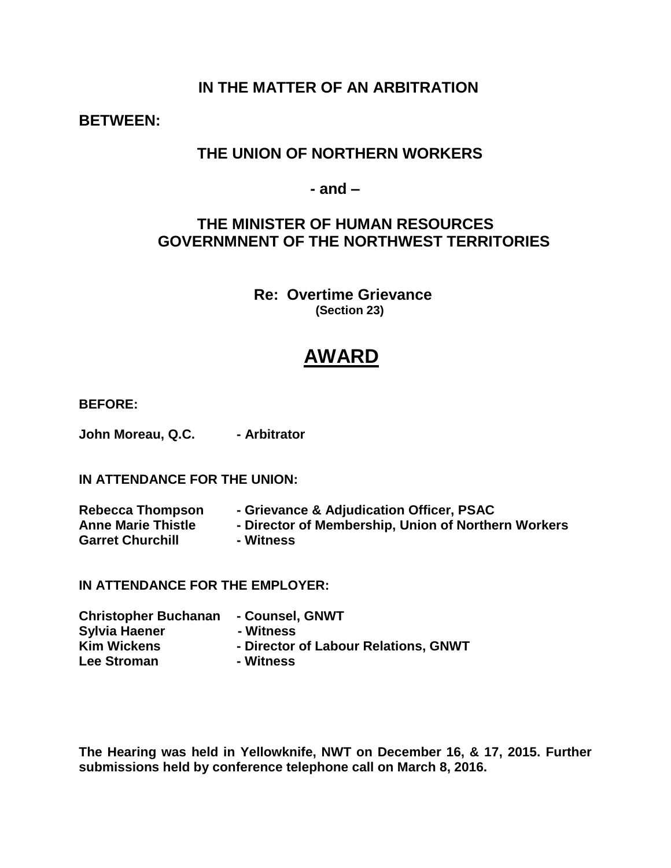# **IN THE MATTER OF AN ARBITRATION**

**BETWEEN:**

# **THE UNION OF NORTHERN WORKERS**

 **- and –**

# **THE MINISTER OF HUMAN RESOURCES GOVERNMNENT OF THE NORTHWEST TERRITORIES**

 **Re: Overtime Grievance (Section 23)**

# **AWARD**

**BEFORE:**

**John Moreau, Q.C.** - Arbitrator

# **IN ATTENDANCE FOR THE UNION:**

| <b>Rebecca Thompson</b>   | - Grievance & Adjudication Officer, PSAC            |
|---------------------------|-----------------------------------------------------|
| <b>Anne Marie Thistle</b> | - Director of Membership, Union of Northern Workers |
|                           |                                                     |

**Garret Churchill - Witness**

**IN ATTENDANCE FOR THE EMPLOYER:**

| <b>Christopher Buchanan</b> | - Counsel, GNWT                      |
|-----------------------------|--------------------------------------|
| <b>Sylvia Haener</b>        | - Witness                            |
| <b>Kim Wickens</b>          | - Director of Labour Relations, GNWT |
| <b>Lee Stroman</b>          | - Witness                            |

**The Hearing was held in Yellowknife, NWT on December 16, & 17, 2015. Further submissions held by conference telephone call on March 8, 2016.**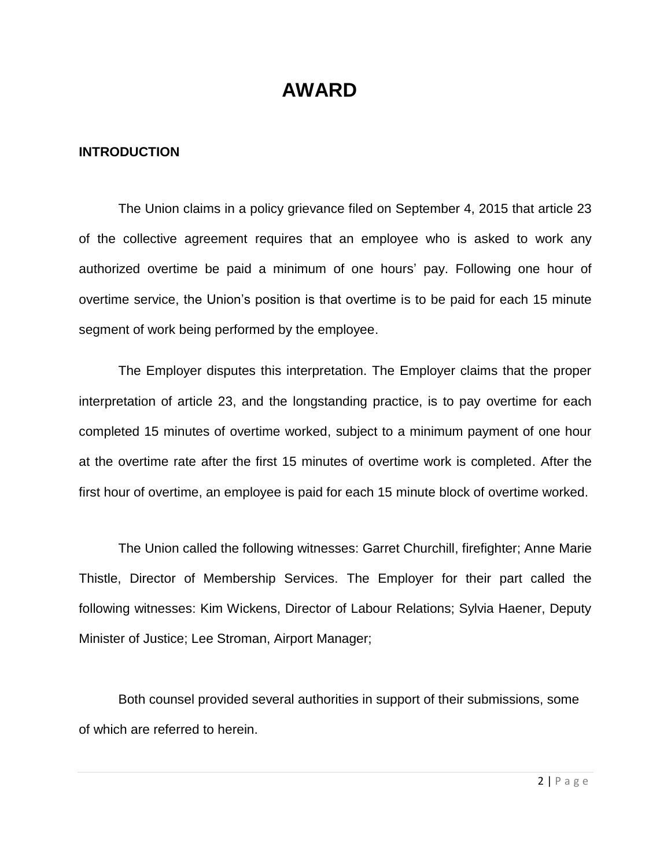# **AWARD**

# **INTRODUCTION**

The Union claims in a policy grievance filed on September 4, 2015 that article 23 of the collective agreement requires that an employee who is asked to work any authorized overtime be paid a minimum of one hours' pay. Following one hour of overtime service, the Union's position is that overtime is to be paid for each 15 minute segment of work being performed by the employee.

The Employer disputes this interpretation. The Employer claims that the proper interpretation of article 23, and the longstanding practice, is to pay overtime for each completed 15 minutes of overtime worked, subject to a minimum payment of one hour at the overtime rate after the first 15 minutes of overtime work is completed. After the first hour of overtime, an employee is paid for each 15 minute block of overtime worked.

The Union called the following witnesses: Garret Churchill, firefighter; Anne Marie Thistle, Director of Membership Services. The Employer for their part called the following witnesses: Kim Wickens, Director of Labour Relations; Sylvia Haener, Deputy Minister of Justice; Lee Stroman, Airport Manager;

Both counsel provided several authorities in support of their submissions, some of which are referred to herein.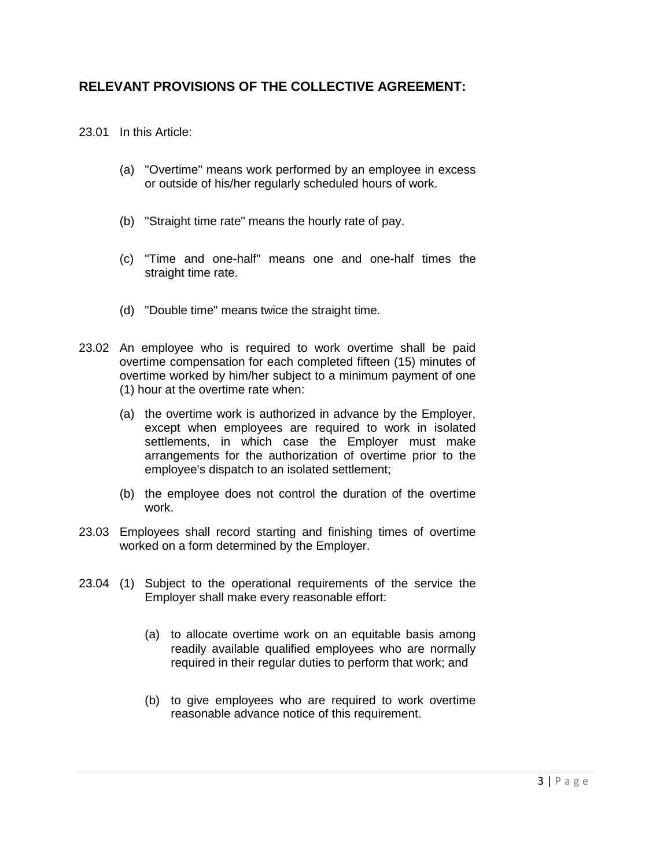# **RELEVANT PROVISIONS OF THE COLLECTIVE AGREEMENT:**

23.01 In this Article:

- (a) "Overtime" means work performed by an employee in excess or outside of his/her regularly scheduled hours of work.
- (b) "Straight time rate" means the hourly rate of pay.
- (c) "Time and one-half" means one and one-half times the straight time rate.
- (d) "Double time" means twice the straight time.
- 23.02 An employee who is required to work overtime shall be paid overtime compensation for each completed fifteen (15) minutes of overtime worked by him/her subject to a minimum payment of one (1) hour at the overtime rate when:
	- (a) the overtime work is authorized in advance by the Employer, except when employees are required to work in isolated settlements, in which case the Employer must make arrangements for the authorization of overtime prior to the employee's dispatch to an isolated settlement;
	- (b) the employee does not control the duration of the overtime work.
- 23.03 Employees shall record starting and finishing times of overtime worked on a form determined by the Employer.
- 23.04 (1) Subject to the operational requirements of the service the Employer shall make every reasonable effort:
	- (a) to allocate overtime work on an equitable basis among readily available qualified employees who are normally required in their regular duties to perform that work; and
	- (b) to give employees who are required to work overtime reasonable advance notice of this requirement.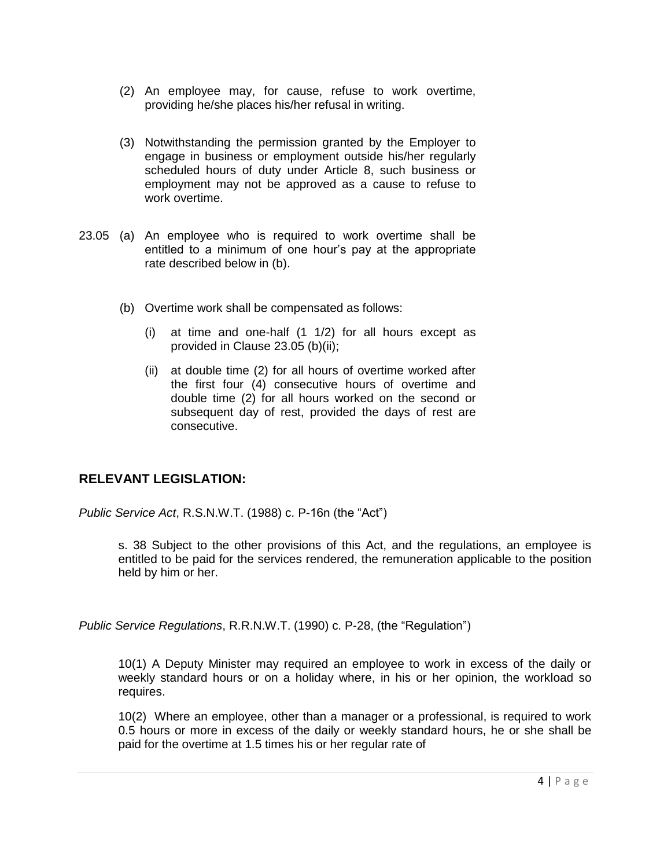- (2) An employee may, for cause, refuse to work overtime, providing he/she places his/her refusal in writing.
- (3) Notwithstanding the permission granted by the Employer to engage in business or employment outside his/her regularly scheduled hours of duty under Article 8, such business or employment may not be approved as a cause to refuse to work overtime.
- 23.05 (a) An employee who is required to work overtime shall be entitled to a minimum of one hour's pay at the appropriate rate described below in (b).
	- (b) Overtime work shall be compensated as follows:
		- (i) at time and one-half (1 1/2) for all hours except as provided in Clause 23.05 (b)(ii);
		- (ii) at double time (2) for all hours of overtime worked after the first four (4) consecutive hours of overtime and double time (2) for all hours worked on the second or subsequent day of rest, provided the days of rest are consecutive.

# **RELEVANT LEGISLATION:**

*Public Service Act*, R.S.N.W.T. (1988) c. P-16n (the "Act")

s. 38 Subject to the other provisions of this Act, and the regulations, an employee is entitled to be paid for the services rendered, the remuneration applicable to the position held by him or her.

*Public Service Regulations*, R.R.N.W.T. (1990) c. P-28, (the "Regulation")

10(1) A Deputy Minister may required an employee to work in excess of the daily or weekly standard hours or on a holiday where, in his or her opinion, the workload so requires.

10(2) Where an employee, other than a manager or a professional, is required to work 0.5 hours or more in excess of the daily or weekly standard hours, he or she shall be paid for the overtime at 1.5 times his or her regular rate of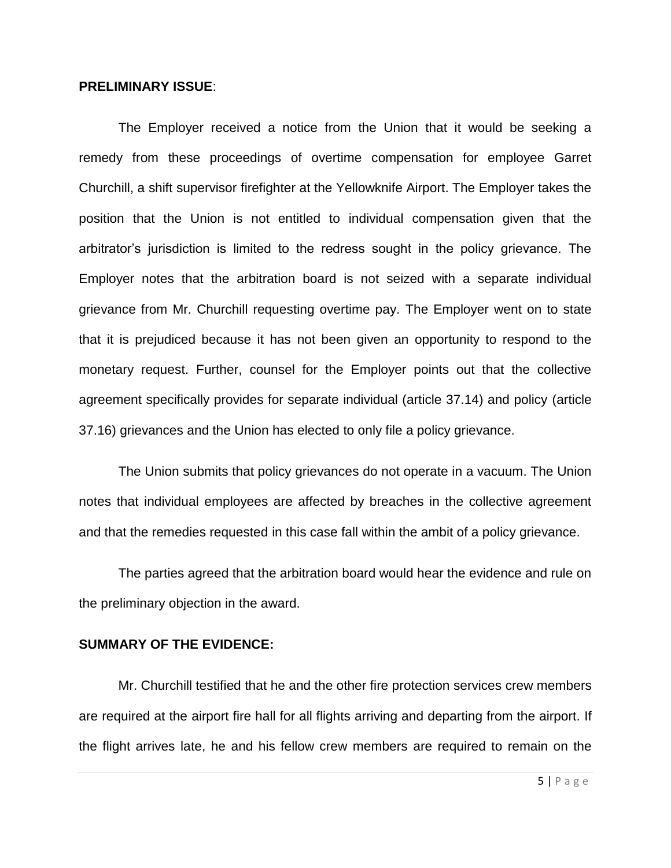### **PRELIMINARY ISSUE**:

The Employer received a notice from the Union that it would be seeking a remedy from these proceedings of overtime compensation for employee Garret Churchill, a shift supervisor firefighter at the Yellowknife Airport. The Employer takes the position that the Union is not entitled to individual compensation given that the arbitrator's jurisdiction is limited to the redress sought in the policy grievance. The Employer notes that the arbitration board is not seized with a separate individual grievance from Mr. Churchill requesting overtime pay. The Employer went on to state that it is prejudiced because it has not been given an opportunity to respond to the monetary request. Further, counsel for the Employer points out that the collective agreement specifically provides for separate individual (article 37.14) and policy (article 37.16) grievances and the Union has elected to only file a policy grievance.

The Union submits that policy grievances do not operate in a vacuum. The Union notes that individual employees are affected by breaches in the collective agreement and that the remedies requested in this case fall within the ambit of a policy grievance.

The parties agreed that the arbitration board would hear the evidence and rule on the preliminary objection in the award.

### **SUMMARY OF THE EVIDENCE:**

Mr. Churchill testified that he and the other fire protection services crew members are required at the airport fire hall for all flights arriving and departing from the airport. If the flight arrives late, he and his fellow crew members are required to remain on the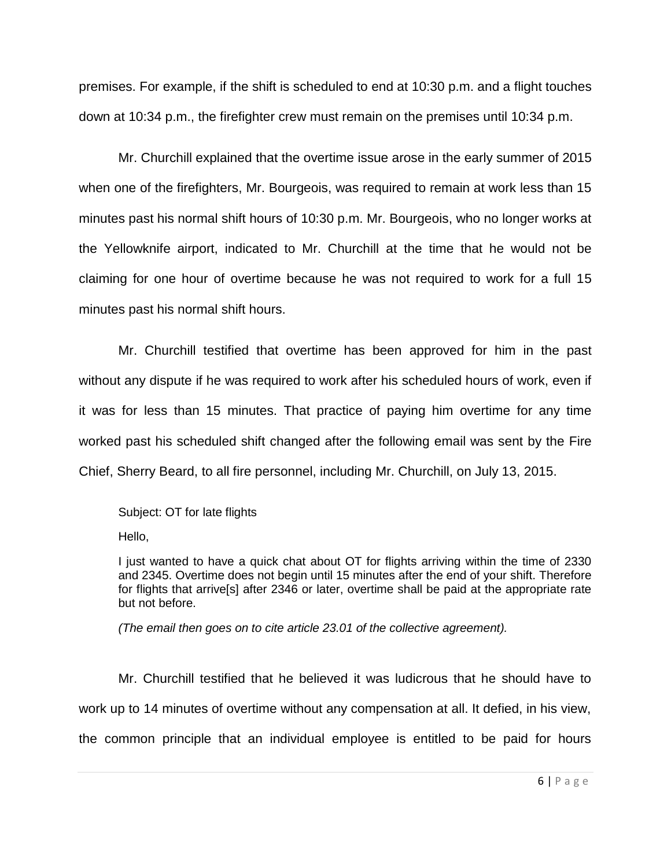premises. For example, if the shift is scheduled to end at 10:30 p.m. and a flight touches down at 10:34 p.m., the firefighter crew must remain on the premises until 10:34 p.m.

Mr. Churchill explained that the overtime issue arose in the early summer of 2015 when one of the firefighters, Mr. Bourgeois, was required to remain at work less than 15 minutes past his normal shift hours of 10:30 p.m. Mr. Bourgeois, who no longer works at the Yellowknife airport, indicated to Mr. Churchill at the time that he would not be claiming for one hour of overtime because he was not required to work for a full 15 minutes past his normal shift hours.

Mr. Churchill testified that overtime has been approved for him in the past without any dispute if he was required to work after his scheduled hours of work, even if it was for less than 15 minutes. That practice of paying him overtime for any time worked past his scheduled shift changed after the following email was sent by the Fire Chief, Sherry Beard, to all fire personnel, including Mr. Churchill, on July 13, 2015.

Subject: OT for late flights

Hello,

I just wanted to have a quick chat about OT for flights arriving within the time of 2330 and 2345. Overtime does not begin until 15 minutes after the end of your shift. Therefore for flights that arrive[s] after 2346 or later, overtime shall be paid at the appropriate rate but not before.

*(The email then goes on to cite article 23.01 of the collective agreement).*

Mr. Churchill testified that he believed it was ludicrous that he should have to work up to 14 minutes of overtime without any compensation at all. It defied, in his view, the common principle that an individual employee is entitled to be paid for hours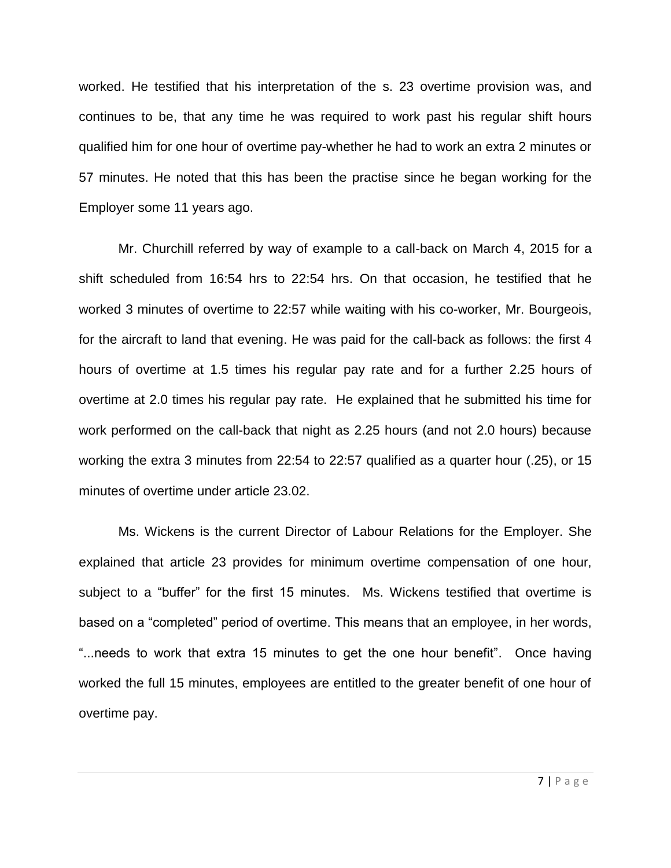worked. He testified that his interpretation of the s. 23 overtime provision was, and continues to be, that any time he was required to work past his regular shift hours qualified him for one hour of overtime pay-whether he had to work an extra 2 minutes or 57 minutes. He noted that this has been the practise since he began working for the Employer some 11 years ago.

Mr. Churchill referred by way of example to a call-back on March 4, 2015 for a shift scheduled from 16:54 hrs to 22:54 hrs. On that occasion, he testified that he worked 3 minutes of overtime to 22:57 while waiting with his co-worker, Mr. Bourgeois, for the aircraft to land that evening. He was paid for the call-back as follows: the first 4 hours of overtime at 1.5 times his regular pay rate and for a further 2.25 hours of overtime at 2.0 times his regular pay rate. He explained that he submitted his time for work performed on the call-back that night as 2.25 hours (and not 2.0 hours) because working the extra 3 minutes from 22:54 to 22:57 qualified as a quarter hour (.25), or 15 minutes of overtime under article 23.02.

Ms. Wickens is the current Director of Labour Relations for the Employer. She explained that article 23 provides for minimum overtime compensation of one hour, subject to a "buffer" for the first 15 minutes. Ms. Wickens testified that overtime is based on a "completed" period of overtime. This means that an employee, in her words, "...needs to work that extra 15 minutes to get the one hour benefit". Once having worked the full 15 minutes, employees are entitled to the greater benefit of one hour of overtime pay.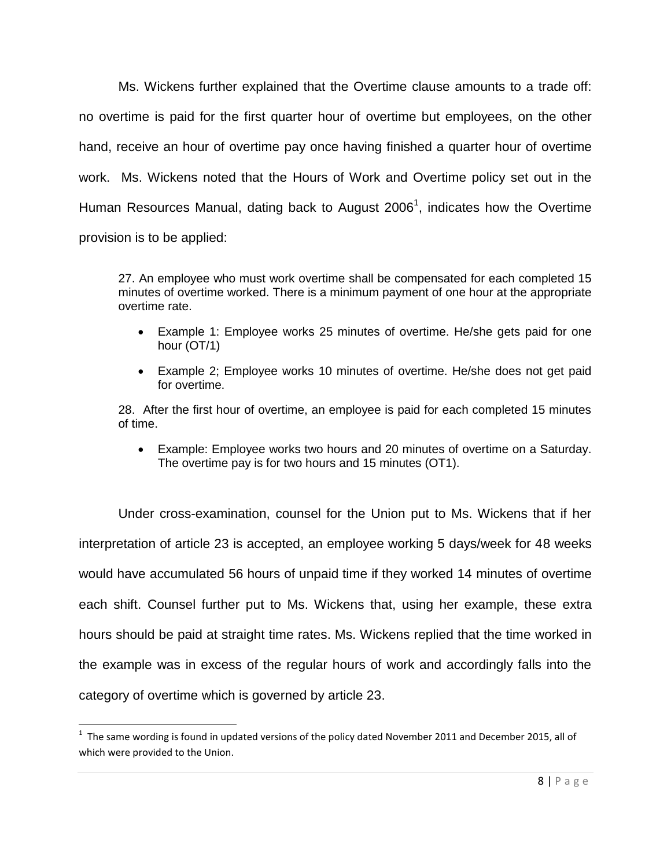Ms. Wickens further explained that the Overtime clause amounts to a trade off: no overtime is paid for the first quarter hour of overtime but employees, on the other hand, receive an hour of overtime pay once having finished a quarter hour of overtime work. Ms. Wickens noted that the Hours of Work and Overtime policy set out in the Human Resources Manual, dating back to August 2006<sup>1</sup>, indicates how the Overtime provision is to be applied:

27. An employee who must work overtime shall be compensated for each completed 15 minutes of overtime worked. There is a minimum payment of one hour at the appropriate overtime rate.

- Example 1: Employee works 25 minutes of overtime. He/she gets paid for one hour (OT/1)
- Example 2; Employee works 10 minutes of overtime. He/she does not get paid for overtime.

28. After the first hour of overtime, an employee is paid for each completed 15 minutes of time.

 Example: Employee works two hours and 20 minutes of overtime on a Saturday. The overtime pay is for two hours and 15 minutes (OT1).

Under cross-examination, counsel for the Union put to Ms. Wickens that if her interpretation of article 23 is accepted, an employee working 5 days/week for 48 weeks would have accumulated 56 hours of unpaid time if they worked 14 minutes of overtime each shift. Counsel further put to Ms. Wickens that, using her example, these extra hours should be paid at straight time rates. Ms. Wickens replied that the time worked in the example was in excess of the regular hours of work and accordingly falls into the category of overtime which is governed by article 23.

 $\overline{\phantom{a}}$ 

 $^1$  The same wording is found in updated versions of the policy dated November 2011 and December 2015, all of which were provided to the Union.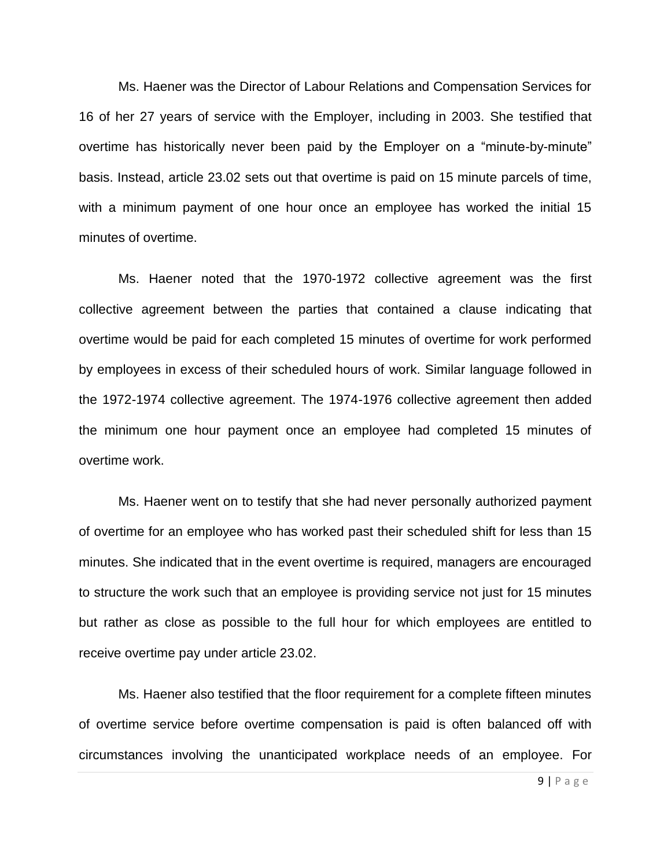Ms. Haener was the Director of Labour Relations and Compensation Services for 16 of her 27 years of service with the Employer, including in 2003. She testified that overtime has historically never been paid by the Employer on a "minute-by-minute" basis. Instead, article 23.02 sets out that overtime is paid on 15 minute parcels of time, with a minimum payment of one hour once an employee has worked the initial 15 minutes of overtime.

Ms. Haener noted that the 1970-1972 collective agreement was the first collective agreement between the parties that contained a clause indicating that overtime would be paid for each completed 15 minutes of overtime for work performed by employees in excess of their scheduled hours of work. Similar language followed in the 1972-1974 collective agreement. The 1974-1976 collective agreement then added the minimum one hour payment once an employee had completed 15 minutes of overtime work.

Ms. Haener went on to testify that she had never personally authorized payment of overtime for an employee who has worked past their scheduled shift for less than 15 minutes. She indicated that in the event overtime is required, managers are encouraged to structure the work such that an employee is providing service not just for 15 minutes but rather as close as possible to the full hour for which employees are entitled to receive overtime pay under article 23.02.

Ms. Haener also testified that the floor requirement for a complete fifteen minutes of overtime service before overtime compensation is paid is often balanced off with circumstances involving the unanticipated workplace needs of an employee. For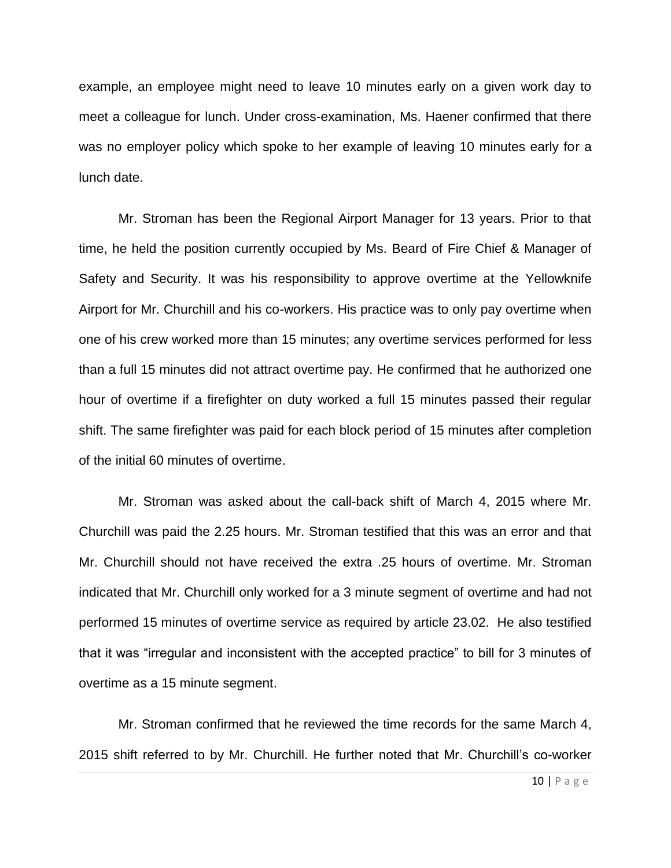example, an employee might need to leave 10 minutes early on a given work day to meet a colleague for lunch. Under cross-examination, Ms. Haener confirmed that there was no employer policy which spoke to her example of leaving 10 minutes early for a lunch date.

Mr. Stroman has been the Regional Airport Manager for 13 years. Prior to that time, he held the position currently occupied by Ms. Beard of Fire Chief & Manager of Safety and Security. It was his responsibility to approve overtime at the Yellowknife Airport for Mr. Churchill and his co-workers. His practice was to only pay overtime when one of his crew worked more than 15 minutes; any overtime services performed for less than a full 15 minutes did not attract overtime pay. He confirmed that he authorized one hour of overtime if a firefighter on duty worked a full 15 minutes passed their regular shift. The same firefighter was paid for each block period of 15 minutes after completion of the initial 60 minutes of overtime.

Mr. Stroman was asked about the call-back shift of March 4, 2015 where Mr. Churchill was paid the 2.25 hours. Mr. Stroman testified that this was an error and that Mr. Churchill should not have received the extra .25 hours of overtime. Mr. Stroman indicated that Mr. Churchill only worked for a 3 minute segment of overtime and had not performed 15 minutes of overtime service as required by article 23.02. He also testified that it was "irregular and inconsistent with the accepted practice" to bill for 3 minutes of overtime as a 15 minute segment.

Mr. Stroman confirmed that he reviewed the time records for the same March 4, 2015 shift referred to by Mr. Churchill. He further noted that Mr. Churchill's co-worker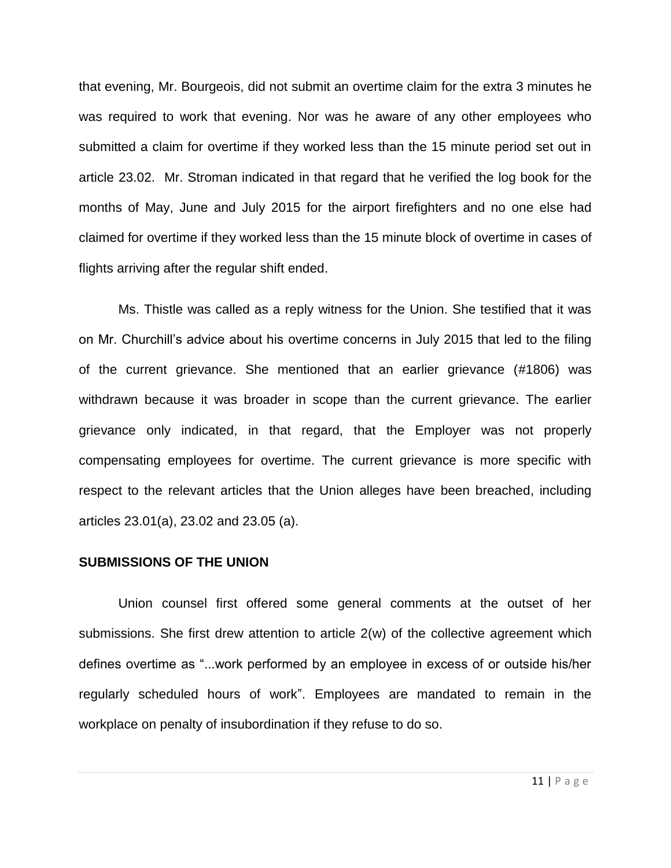that evening, Mr. Bourgeois, did not submit an overtime claim for the extra 3 minutes he was required to work that evening. Nor was he aware of any other employees who submitted a claim for overtime if they worked less than the 15 minute period set out in article 23.02. Mr. Stroman indicated in that regard that he verified the log book for the months of May, June and July 2015 for the airport firefighters and no one else had claimed for overtime if they worked less than the 15 minute block of overtime in cases of flights arriving after the regular shift ended.

Ms. Thistle was called as a reply witness for the Union. She testified that it was on Mr. Churchill's advice about his overtime concerns in July 2015 that led to the filing of the current grievance. She mentioned that an earlier grievance (#1806) was withdrawn because it was broader in scope than the current grievance. The earlier grievance only indicated, in that regard, that the Employer was not properly compensating employees for overtime. The current grievance is more specific with respect to the relevant articles that the Union alleges have been breached, including articles 23.01(a), 23.02 and 23.05 (a).

### **SUBMISSIONS OF THE UNION**

Union counsel first offered some general comments at the outset of her submissions. She first drew attention to article 2(w) of the collective agreement which defines overtime as "...work performed by an employee in excess of or outside his/her regularly scheduled hours of work". Employees are mandated to remain in the workplace on penalty of insubordination if they refuse to do so.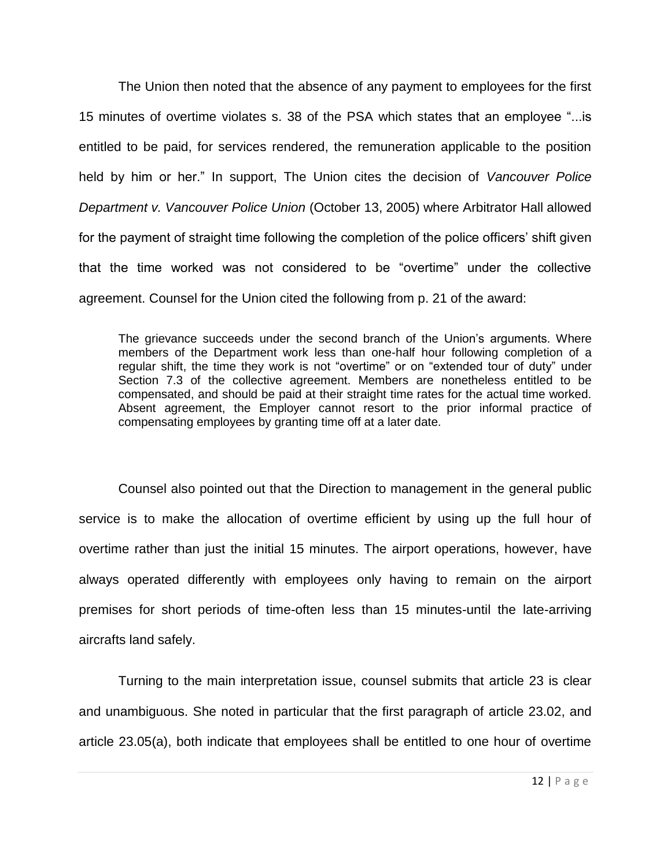The Union then noted that the absence of any payment to employees for the first 15 minutes of overtime violates s. 38 of the PSA which states that an employee "...is entitled to be paid, for services rendered, the remuneration applicable to the position held by him or her." In support, The Union cites the decision of *Vancouver Police Department v. Vancouver Police Union* (October 13, 2005) where Arbitrator Hall allowed for the payment of straight time following the completion of the police officers' shift given that the time worked was not considered to be "overtime" under the collective agreement. Counsel for the Union cited the following from p. 21 of the award:

The grievance succeeds under the second branch of the Union's arguments. Where members of the Department work less than one-half hour following completion of a regular shift, the time they work is not "overtime" or on "extended tour of duty" under Section 7.3 of the collective agreement. Members are nonetheless entitled to be compensated, and should be paid at their straight time rates for the actual time worked. Absent agreement, the Employer cannot resort to the prior informal practice of compensating employees by granting time off at a later date.

Counsel also pointed out that the Direction to management in the general public service is to make the allocation of overtime efficient by using up the full hour of overtime rather than just the initial 15 minutes. The airport operations, however, have always operated differently with employees only having to remain on the airport premises for short periods of time-often less than 15 minutes-until the late-arriving aircrafts land safely.

Turning to the main interpretation issue, counsel submits that article 23 is clear and unambiguous. She noted in particular that the first paragraph of article 23.02, and article 23.05(a), both indicate that employees shall be entitled to one hour of overtime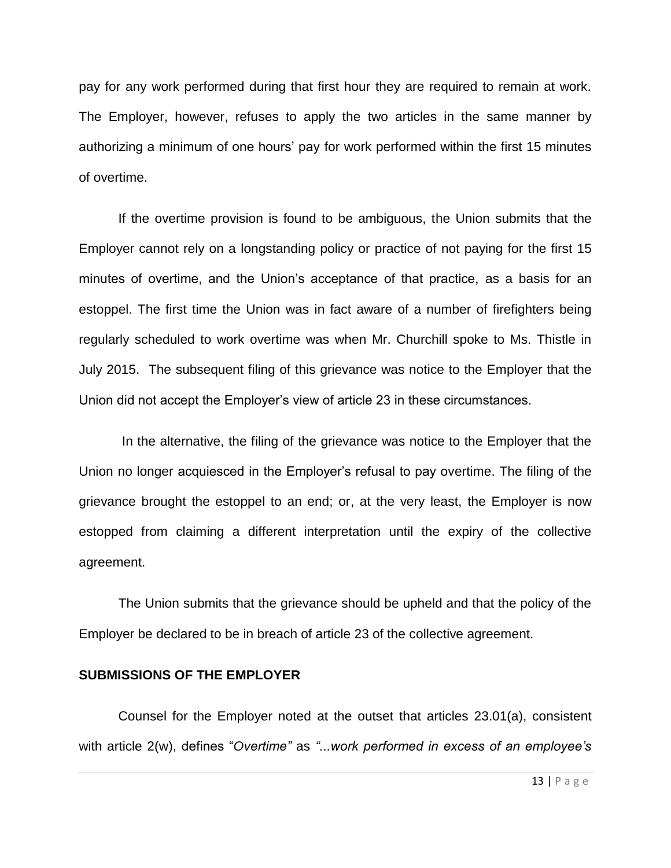pay for any work performed during that first hour they are required to remain at work. The Employer, however, refuses to apply the two articles in the same manner by authorizing a minimum of one hours' pay for work performed within the first 15 minutes of overtime.

If the overtime provision is found to be ambiguous, the Union submits that the Employer cannot rely on a longstanding policy or practice of not paying for the first 15 minutes of overtime, and the Union's acceptance of that practice, as a basis for an estoppel. The first time the Union was in fact aware of a number of firefighters being regularly scheduled to work overtime was when Mr. Churchill spoke to Ms. Thistle in July 2015. The subsequent filing of this grievance was notice to the Employer that the Union did not accept the Employer's view of article 23 in these circumstances.

In the alternative, the filing of the grievance was notice to the Employer that the Union no longer acquiesced in the Employer's refusal to pay overtime. The filing of the grievance brought the estoppel to an end; or, at the very least, the Employer is now estopped from claiming a different interpretation until the expiry of the collective agreement.

The Union submits that the grievance should be upheld and that the policy of the Employer be declared to be in breach of article 23 of the collective agreement.

### **SUBMISSIONS OF THE EMPLOYER**

Counsel for the Employer noted at the outset that articles 23.01(a), consistent with article 2(w), defines "*Overtime"* as *"...work performed in excess of an employee's*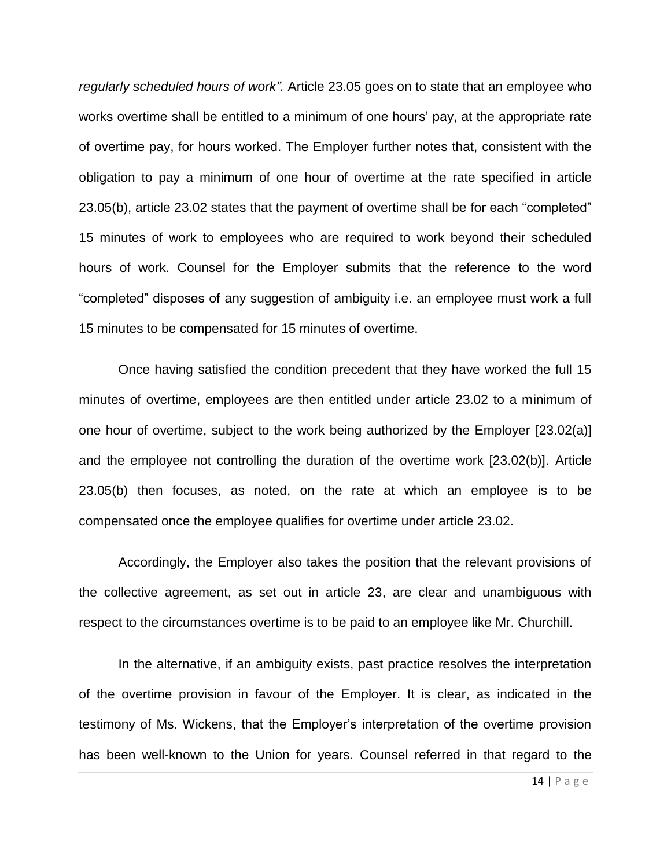*regularly scheduled hours of work".* Article 23.05 goes on to state that an employee who works overtime shall be entitled to a minimum of one hours' pay, at the appropriate rate of overtime pay, for hours worked. The Employer further notes that, consistent with the obligation to pay a minimum of one hour of overtime at the rate specified in article 23.05(b), article 23.02 states that the payment of overtime shall be for each "completed" 15 minutes of work to employees who are required to work beyond their scheduled hours of work. Counsel for the Employer submits that the reference to the word "completed" disposes of any suggestion of ambiguity i.e. an employee must work a full 15 minutes to be compensated for 15 minutes of overtime.

Once having satisfied the condition precedent that they have worked the full 15 minutes of overtime, employees are then entitled under article 23.02 to a minimum of one hour of overtime, subject to the work being authorized by the Employer [23.02(a)] and the employee not controlling the duration of the overtime work [23.02(b)]. Article 23.05(b) then focuses, as noted, on the rate at which an employee is to be compensated once the employee qualifies for overtime under article 23.02.

Accordingly, the Employer also takes the position that the relevant provisions of the collective agreement, as set out in article 23, are clear and unambiguous with respect to the circumstances overtime is to be paid to an employee like Mr. Churchill.

In the alternative, if an ambiguity exists, past practice resolves the interpretation of the overtime provision in favour of the Employer. It is clear, as indicated in the testimony of Ms. Wickens, that the Employer's interpretation of the overtime provision has been well-known to the Union for years. Counsel referred in that regard to the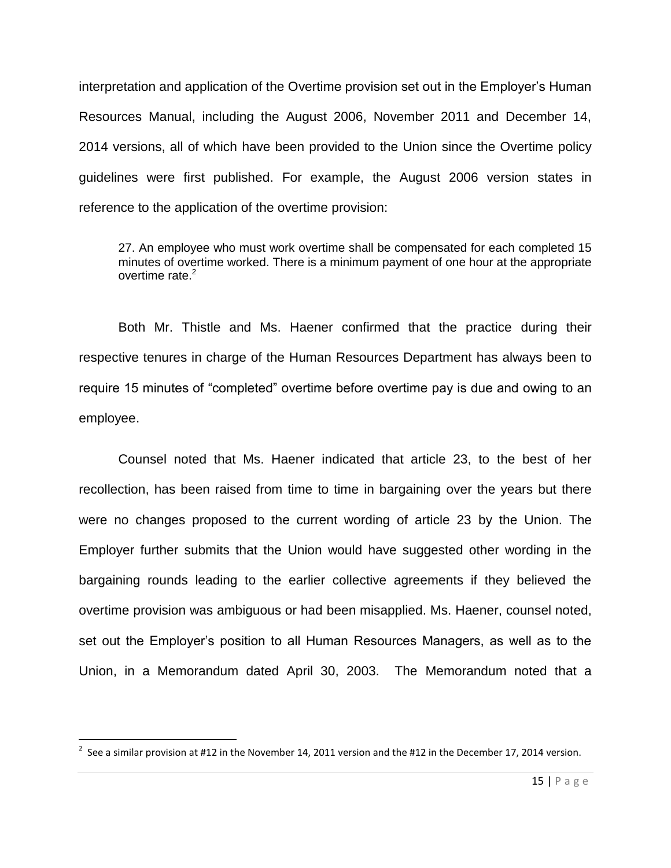interpretation and application of the Overtime provision set out in the Employer's Human Resources Manual, including the August 2006, November 2011 and December 14, 2014 versions, all of which have been provided to the Union since the Overtime policy guidelines were first published. For example, the August 2006 version states in reference to the application of the overtime provision:

27. An employee who must work overtime shall be compensated for each completed 15 minutes of overtime worked. There is a minimum payment of one hour at the appropriate overtime rate. $2$ 

Both Mr. Thistle and Ms. Haener confirmed that the practice during their respective tenures in charge of the Human Resources Department has always been to require 15 minutes of "completed" overtime before overtime pay is due and owing to an employee.

Counsel noted that Ms. Haener indicated that article 23, to the best of her recollection, has been raised from time to time in bargaining over the years but there were no changes proposed to the current wording of article 23 by the Union. The Employer further submits that the Union would have suggested other wording in the bargaining rounds leading to the earlier collective agreements if they believed the overtime provision was ambiguous or had been misapplied. Ms. Haener, counsel noted, set out the Employer's position to all Human Resources Managers, as well as to the Union, in a Memorandum dated April 30, 2003. The Memorandum noted that a

 $\overline{a}$ 

 $^{2}$  See a similar provision at #12 in the November 14, 2011 version and the #12 in the December 17, 2014 version.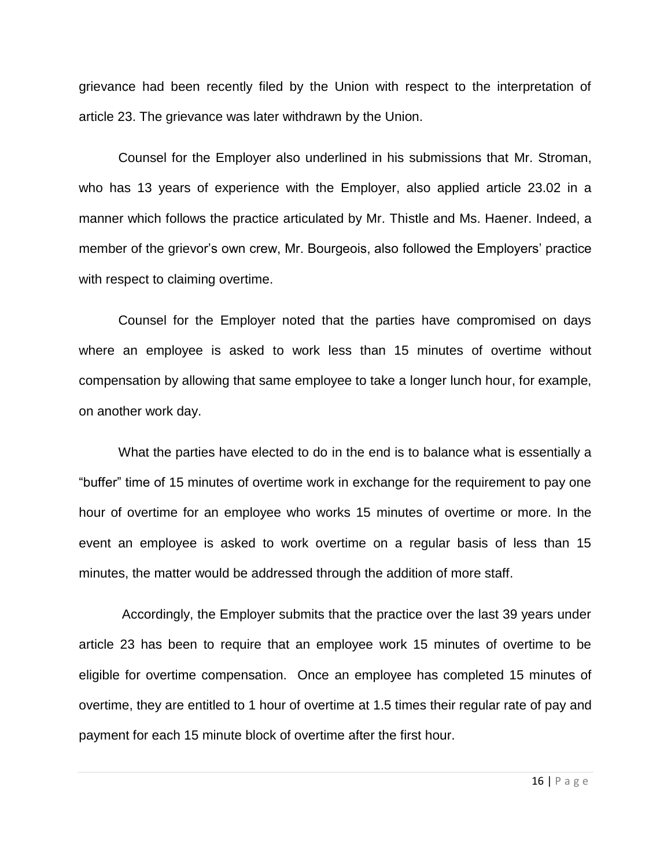grievance had been recently filed by the Union with respect to the interpretation of article 23. The grievance was later withdrawn by the Union.

Counsel for the Employer also underlined in his submissions that Mr. Stroman, who has 13 years of experience with the Employer, also applied article 23.02 in a manner which follows the practice articulated by Mr. Thistle and Ms. Haener. Indeed, a member of the grievor's own crew, Mr. Bourgeois, also followed the Employers' practice with respect to claiming overtime.

Counsel for the Employer noted that the parties have compromised on days where an employee is asked to work less than 15 minutes of overtime without compensation by allowing that same employee to take a longer lunch hour, for example, on another work day.

What the parties have elected to do in the end is to balance what is essentially a "buffer" time of 15 minutes of overtime work in exchange for the requirement to pay one hour of overtime for an employee who works 15 minutes of overtime or more. In the event an employee is asked to work overtime on a regular basis of less than 15 minutes, the matter would be addressed through the addition of more staff.

Accordingly, the Employer submits that the practice over the last 39 years under article 23 has been to require that an employee work 15 minutes of overtime to be eligible for overtime compensation. Once an employee has completed 15 minutes of overtime, they are entitled to 1 hour of overtime at 1.5 times their regular rate of pay and payment for each 15 minute block of overtime after the first hour.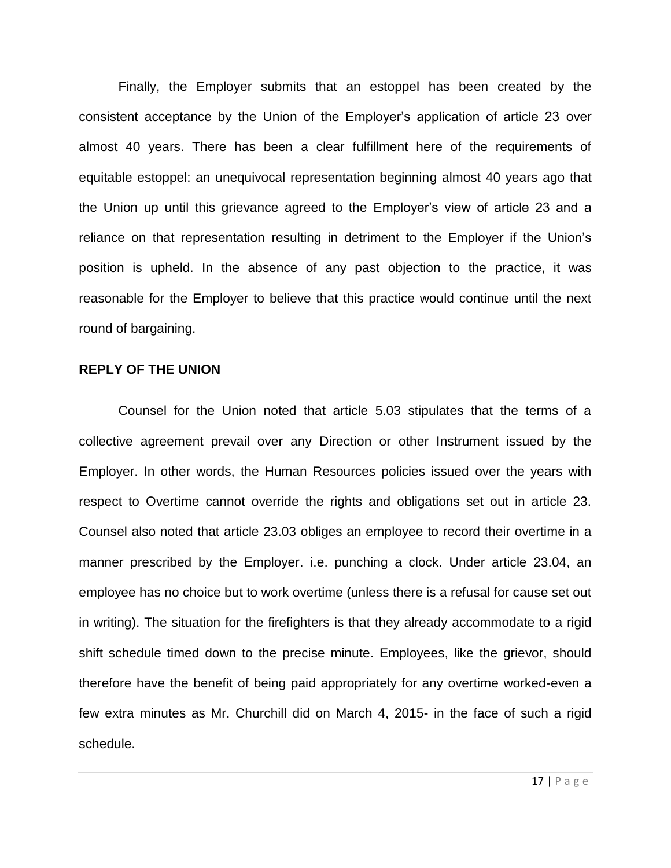Finally, the Employer submits that an estoppel has been created by the consistent acceptance by the Union of the Employer's application of article 23 over almost 40 years. There has been a clear fulfillment here of the requirements of equitable estoppel: an unequivocal representation beginning almost 40 years ago that the Union up until this grievance agreed to the Employer's view of article 23 and a reliance on that representation resulting in detriment to the Employer if the Union's position is upheld. In the absence of any past objection to the practice, it was reasonable for the Employer to believe that this practice would continue until the next round of bargaining.

### **REPLY OF THE UNION**

Counsel for the Union noted that article 5.03 stipulates that the terms of a collective agreement prevail over any Direction or other Instrument issued by the Employer. In other words, the Human Resources policies issued over the years with respect to Overtime cannot override the rights and obligations set out in article 23. Counsel also noted that article 23.03 obliges an employee to record their overtime in a manner prescribed by the Employer. i.e. punching a clock. Under article 23.04, an employee has no choice but to work overtime (unless there is a refusal for cause set out in writing). The situation for the firefighters is that they already accommodate to a rigid shift schedule timed down to the precise minute. Employees, like the grievor, should therefore have the benefit of being paid appropriately for any overtime worked-even a few extra minutes as Mr. Churchill did on March 4, 2015- in the face of such a rigid schedule.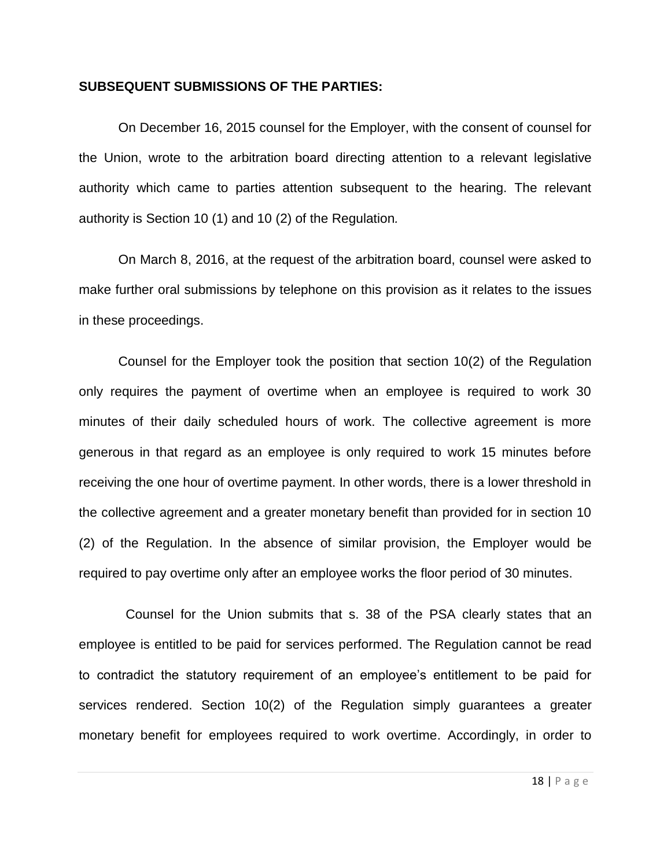# **SUBSEQUENT SUBMISSIONS OF THE PARTIES:**

On December 16, 2015 counsel for the Employer, with the consent of counsel for the Union, wrote to the arbitration board directing attention to a relevant legislative authority which came to parties attention subsequent to the hearing. The relevant authority is Section 10 (1) and 10 (2) of the Regulation*.*

On March 8, 2016, at the request of the arbitration board, counsel were asked to make further oral submissions by telephone on this provision as it relates to the issues in these proceedings.

Counsel for the Employer took the position that section 10(2) of the Regulation only requires the payment of overtime when an employee is required to work 30 minutes of their daily scheduled hours of work. The collective agreement is more generous in that regard as an employee is only required to work 15 minutes before receiving the one hour of overtime payment. In other words, there is a lower threshold in the collective agreement and a greater monetary benefit than provided for in section 10 (2) of the Regulation. In the absence of similar provision, the Employer would be required to pay overtime only after an employee works the floor period of 30 minutes.

Counsel for the Union submits that s. 38 of the PSA clearly states that an employee is entitled to be paid for services performed. The Regulation cannot be read to contradict the statutory requirement of an employee's entitlement to be paid for services rendered. Section 10(2) of the Regulation simply guarantees a greater monetary benefit for employees required to work overtime. Accordingly, in order to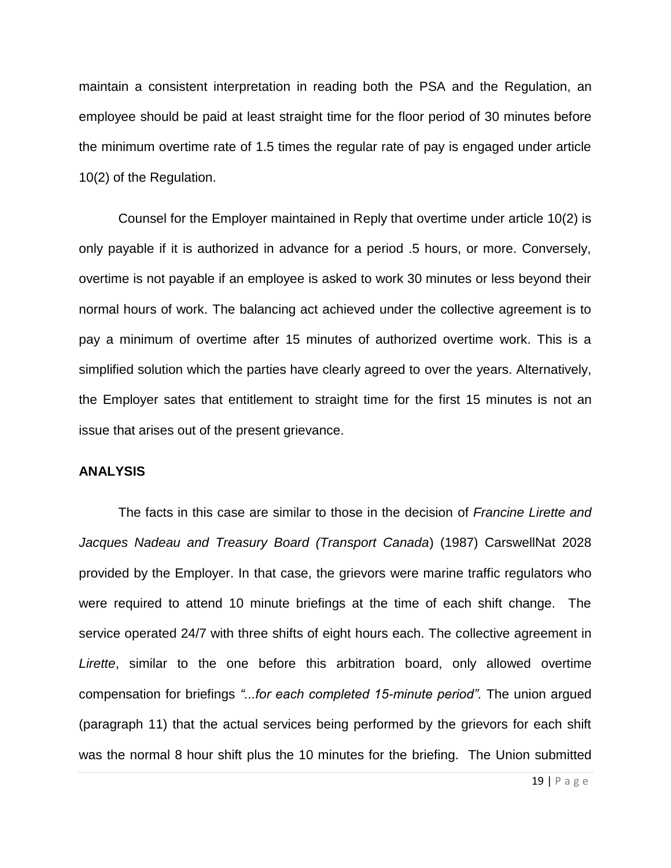maintain a consistent interpretation in reading both the PSA and the Regulation, an employee should be paid at least straight time for the floor period of 30 minutes before the minimum overtime rate of 1.5 times the regular rate of pay is engaged under article 10(2) of the Regulation.

Counsel for the Employer maintained in Reply that overtime under article 10(2) is only payable if it is authorized in advance for a period .5 hours, or more. Conversely, overtime is not payable if an employee is asked to work 30 minutes or less beyond their normal hours of work. The balancing act achieved under the collective agreement is to pay a minimum of overtime after 15 minutes of authorized overtime work. This is a simplified solution which the parties have clearly agreed to over the years. Alternatively, the Employer sates that entitlement to straight time for the first 15 minutes is not an issue that arises out of the present grievance.

## **ANALYSIS**

The facts in this case are similar to those in the decision of *Francine Lirette and Jacques Nadeau and Treasury Board (Transport Canada*) (1987) CarswellNat 2028 provided by the Employer. In that case, the grievors were marine traffic regulators who were required to attend 10 minute briefings at the time of each shift change. The service operated 24/7 with three shifts of eight hours each. The collective agreement in *Lirette*, similar to the one before this arbitration board, only allowed overtime compensation for briefings *"...for each completed 15-minute period".* The union argued (paragraph 11) that the actual services being performed by the grievors for each shift was the normal 8 hour shift plus the 10 minutes for the briefing. The Union submitted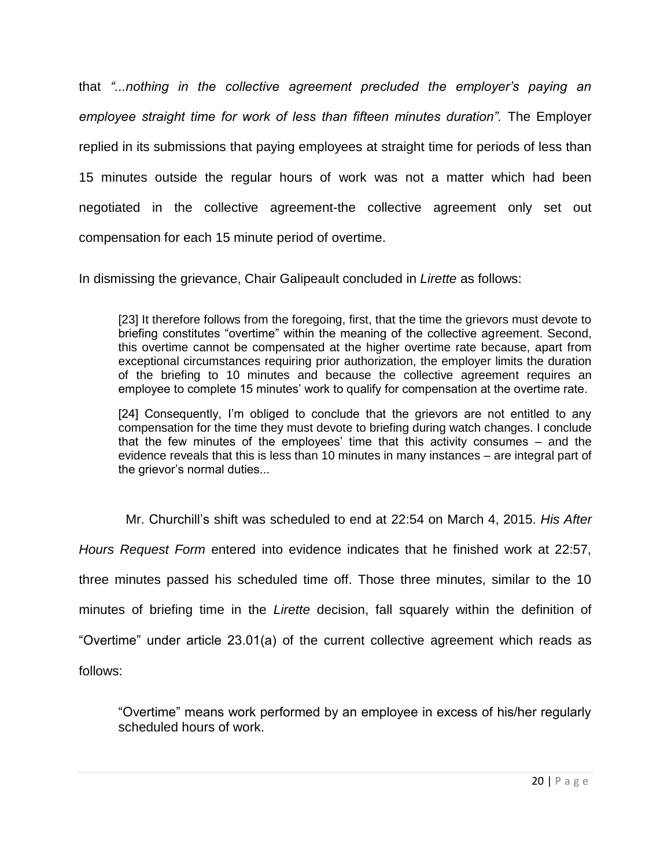that *"...nothing in the collective agreement precluded the employer's paying an employee straight time for work of less than fifteen minutes duration".* The Employer replied in its submissions that paying employees at straight time for periods of less than 15 minutes outside the regular hours of work was not a matter which had been negotiated in the collective agreement-the collective agreement only set out compensation for each 15 minute period of overtime.

In dismissing the grievance, Chair Galipeault concluded in *Lirette* as follows:

[23] It therefore follows from the foregoing, first, that the time the grievors must devote to briefing constitutes "overtime" within the meaning of the collective agreement. Second, this overtime cannot be compensated at the higher overtime rate because, apart from exceptional circumstances requiring prior authorization, the employer limits the duration of the briefing to 10 minutes and because the collective agreement requires an employee to complete 15 minutes' work to qualify for compensation at the overtime rate.

[24] Consequently, I'm obliged to conclude that the grievors are not entitled to any compensation for the time they must devote to briefing during watch changes. I conclude that the few minutes of the employees' time that this activity consumes – and the evidence reveals that this is less than 10 minutes in many instances – are integral part of the grievor's normal duties...

Mr. Churchill's shift was scheduled to end at 22:54 on March 4, 2015. *His After Hours Request Form* entered into evidence indicates that he finished work at 22:57, three minutes passed his scheduled time off. Those three minutes, similar to the 10 minutes of briefing time in the *Lirette* decision, fall squarely within the definition of "Overtime" under article 23.01(a) of the current collective agreement which reads as follows:

"Overtime" means work performed by an employee in excess of his/her regularly scheduled hours of work.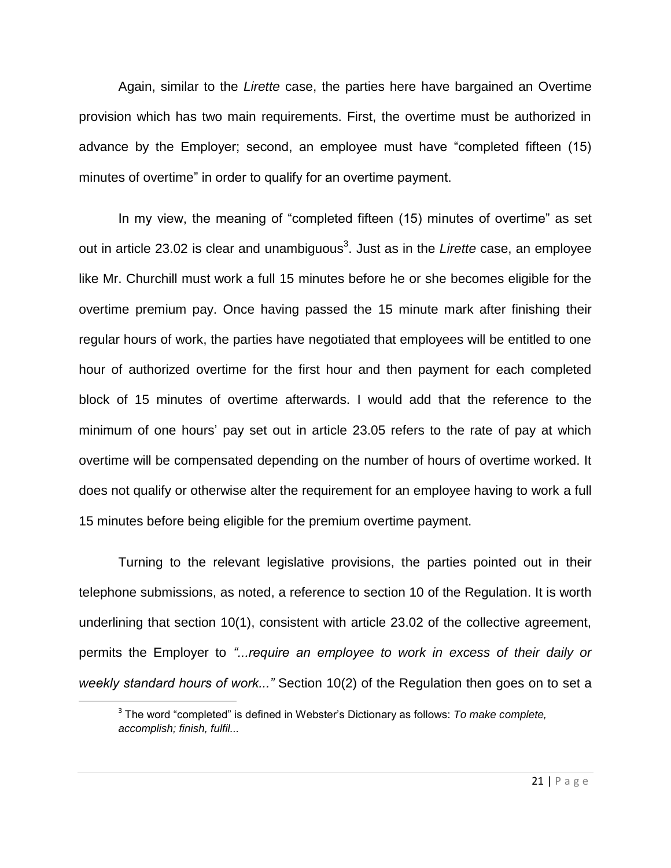Again, similar to the *Lirette* case, the parties here have bargained an Overtime provision which has two main requirements. First, the overtime must be authorized in advance by the Employer; second, an employee must have "completed fifteen (15) minutes of overtime" in order to qualify for an overtime payment.

In my view, the meaning of "completed fifteen (15) minutes of overtime" as set out in article 23.02 is clear and unambiguous<sup>3</sup>. Just as in the *Lirette* case, an employee like Mr. Churchill must work a full 15 minutes before he or she becomes eligible for the overtime premium pay. Once having passed the 15 minute mark after finishing their regular hours of work, the parties have negotiated that employees will be entitled to one hour of authorized overtime for the first hour and then payment for each completed block of 15 minutes of overtime afterwards. I would add that the reference to the minimum of one hours' pay set out in article 23.05 refers to the rate of pay at which overtime will be compensated depending on the number of hours of overtime worked. It does not qualify or otherwise alter the requirement for an employee having to work a full 15 minutes before being eligible for the premium overtime payment.

Turning to the relevant legislative provisions, the parties pointed out in their telephone submissions, as noted, a reference to section 10 of the Regulation. It is worth underlining that section 10(1), consistent with article 23.02 of the collective agreement, permits the Employer to *"...require an employee to work in excess of their daily or weekly standard hours of work..."* Section 10(2) of the Regulation then goes on to set a

 $\overline{\phantom{a}}$ 

<sup>3</sup> The word "completed" is defined in Webster's Dictionary as follows: *To make complete, accomplish; finish, fulfil...*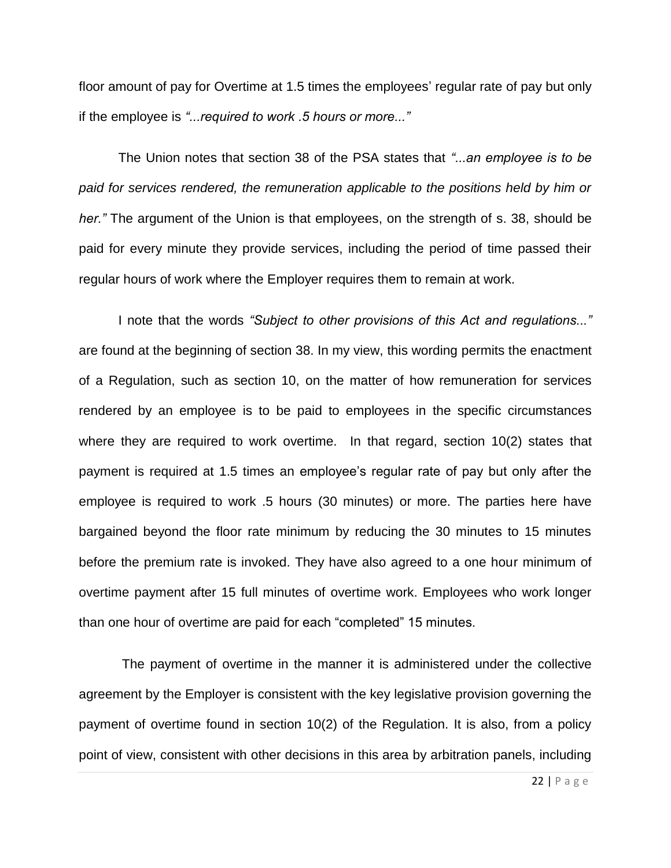floor amount of pay for Overtime at 1.5 times the employees' regular rate of pay but only if the employee is *"...required to work .5 hours or more..."*

The Union notes that section 38 of the PSA states that *"...an employee is to be paid for services rendered, the remuneration applicable to the positions held by him or her."* The argument of the Union is that employees, on the strength of s. 38, should be paid for every minute they provide services, including the period of time passed their regular hours of work where the Employer requires them to remain at work.

I note that the words *"Subject to other provisions of this Act and regulations..."* are found at the beginning of section 38. In my view, this wording permits the enactment of a Regulation, such as section 10, on the matter of how remuneration for services rendered by an employee is to be paid to employees in the specific circumstances where they are required to work overtime. In that regard, section 10(2) states that payment is required at 1.5 times an employee's regular rate of pay but only after the employee is required to work .5 hours (30 minutes) or more. The parties here have bargained beyond the floor rate minimum by reducing the 30 minutes to 15 minutes before the premium rate is invoked. They have also agreed to a one hour minimum of overtime payment after 15 full minutes of overtime work. Employees who work longer than one hour of overtime are paid for each "completed" 15 minutes.

The payment of overtime in the manner it is administered under the collective agreement by the Employer is consistent with the key legislative provision governing the payment of overtime found in section 10(2) of the Regulation. It is also, from a policy point of view, consistent with other decisions in this area by arbitration panels, including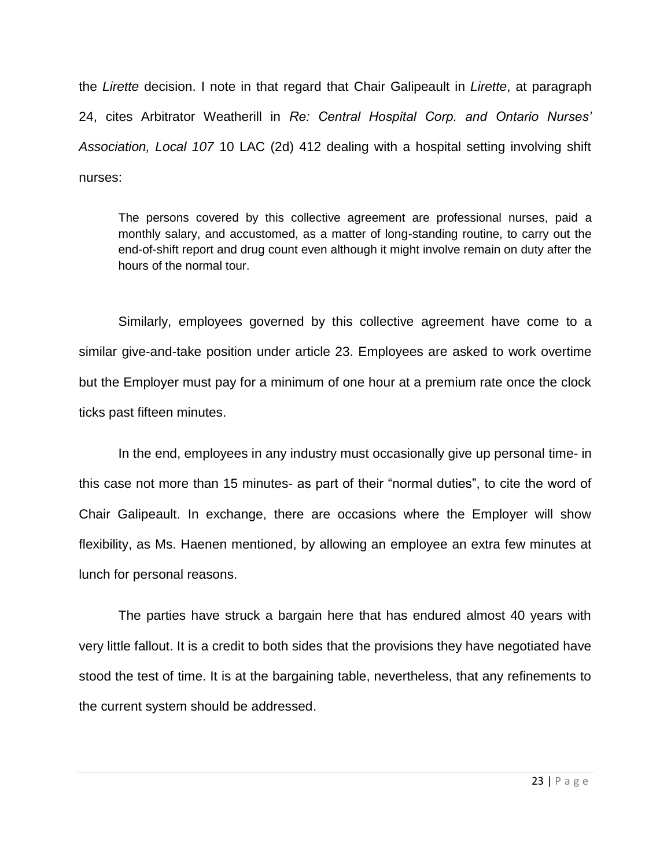the *Lirette* decision. I note in that regard that Chair Galipeault in *Lirette*, at paragraph 24, cites Arbitrator Weatherill in *Re: Central Hospital Corp. and Ontario Nurses' Association, Local 107* 10 LAC (2d) 412 dealing with a hospital setting involving shift nurses:

The persons covered by this collective agreement are professional nurses, paid a monthly salary, and accustomed, as a matter of long-standing routine, to carry out the end-of-shift report and drug count even although it might involve remain on duty after the hours of the normal tour.

Similarly, employees governed by this collective agreement have come to a similar give-and-take position under article 23. Employees are asked to work overtime but the Employer must pay for a minimum of one hour at a premium rate once the clock ticks past fifteen minutes.

In the end, employees in any industry must occasionally give up personal time- in this case not more than 15 minutes- as part of their "normal duties", to cite the word of Chair Galipeault. In exchange, there are occasions where the Employer will show flexibility, as Ms. Haenen mentioned, by allowing an employee an extra few minutes at lunch for personal reasons.

The parties have struck a bargain here that has endured almost 40 years with very little fallout. It is a credit to both sides that the provisions they have negotiated have stood the test of time. It is at the bargaining table, nevertheless, that any refinements to the current system should be addressed.